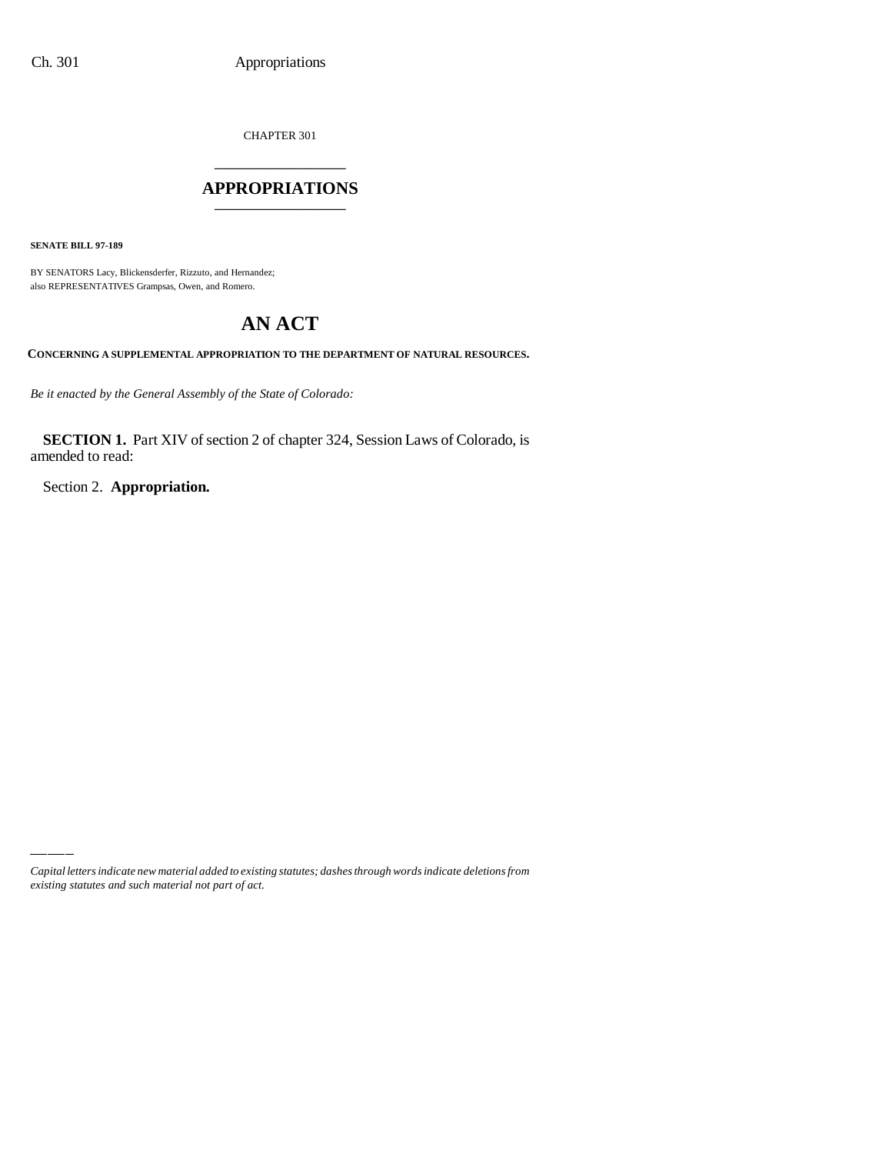CHAPTER 301 \_\_\_\_\_\_\_\_\_\_\_\_\_\_\_

### **APPROPRIATIONS** \_\_\_\_\_\_\_\_\_\_\_\_\_\_\_

**SENATE BILL 97-189**

BY SENATORS Lacy, Blickensderfer, Rizzuto, and Hernandez; also REPRESENTATIVES Grampsas, Owen, and Romero.

# **AN ACT**

**CONCERNING A SUPPLEMENTAL APPROPRIATION TO THE DEPARTMENT OF NATURAL RESOURCES.**

*Be it enacted by the General Assembly of the State of Colorado:*

**SECTION 1.** Part XIV of section 2 of chapter 324, Session Laws of Colorado, is amended to read:

Section 2. **Appropriation.**

*Capital letters indicate new material added to existing statutes; dashes through words indicate deletions from existing statutes and such material not part of act.*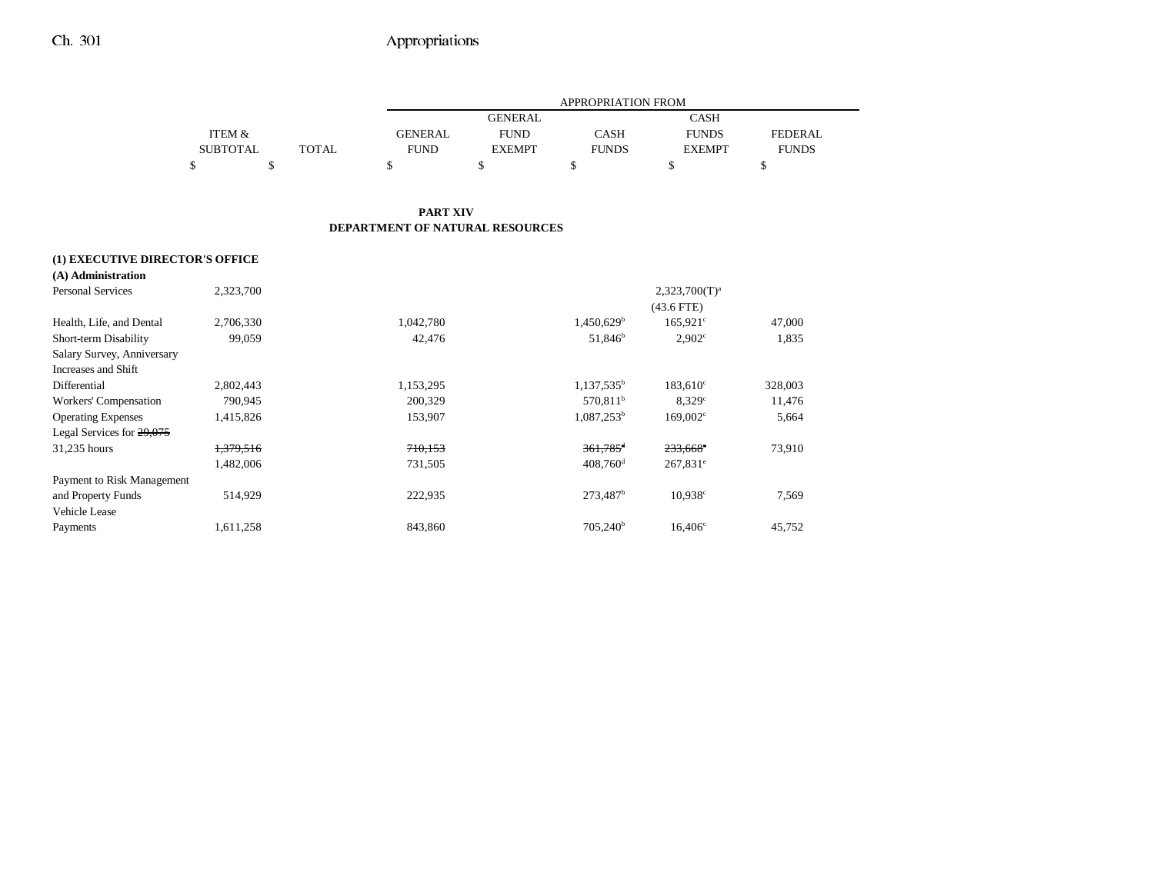|                 |       |                | APPROPRIATION FROM |              |               |                |  |  |  |
|-----------------|-------|----------------|--------------------|--------------|---------------|----------------|--|--|--|
|                 |       |                | <b>GENERAL</b>     |              | <b>CASH</b>   |                |  |  |  |
| ITEM &          |       | <b>GENERAL</b> | <b>FUND</b>        | CASH         | <b>FUNDS</b>  | <b>FEDERAL</b> |  |  |  |
| <b>SUBTOTAL</b> | TOTAL | <b>FUND</b>    | <b>EXEMPT</b>      | <b>FUNDS</b> | <b>EXEMPT</b> | <b>FUNDS</b>   |  |  |  |
|                 |       |                |                    |              |               |                |  |  |  |

#### **PART XIV DEPARTMENT OF NATURAL RESOURCES**

### **(1) EXECUTIVE DIRECTOR'S OFFICE**

| (A) Administration         |           |           |                          |                    |         |
|----------------------------|-----------|-----------|--------------------------|--------------------|---------|
| <b>Personal Services</b>   | 2,323,700 |           |                          | $2,323,700(T)^{a}$ |         |
|                            |           |           |                          | $(43.6$ FTE)       |         |
| Health, Life, and Dental   | 2,706,330 | 1,042,780 | $1,450,629$ <sup>b</sup> | $165.921^{\circ}$  | 47,000  |
| Short-term Disability      | 99,059    | 42,476    | 51,846 <sup>b</sup>      | $2,902^{\circ}$    | 1,835   |
| Salary Survey, Anniversary |           |           |                          |                    |         |
| Increases and Shift        |           |           |                          |                    |         |
| Differential               | 2,802,443 | 1,153,295 | $1,137,535^b$            | $183,610^{\circ}$  | 328,003 |
| Workers' Compensation      | 790.945   | 200,329   | 570.811 <sup>b</sup>     | 8.329c             | 11,476  |
| <b>Operating Expenses</b>  | 1,415,826 | 153,907   | $1,087,253^b$            | $169,002^{\circ}$  | 5,664   |
| Legal Services for 29,075  |           |           |                          |                    |         |
| 31,235 hours               | 1,379,516 | 710,153   | $361,785$ <sup>d</sup>   | $233,668$ °        | 73,910  |
|                            | 1,482,006 | 731,505   | $408,760$ <sup>d</sup>   | $267,831^e$        |         |
| Payment to Risk Management |           |           |                          |                    |         |
| and Property Funds         | 514,929   | 222,935   | 273,487 <sup>b</sup>     | $10,938^{\circ}$   | 7,569   |
| Vehicle Lease              |           |           |                          |                    |         |
| Payments                   | 1,611,258 | 843,860   | 705.240 <sup>b</sup>     | $16,406^{\circ}$   | 45,752  |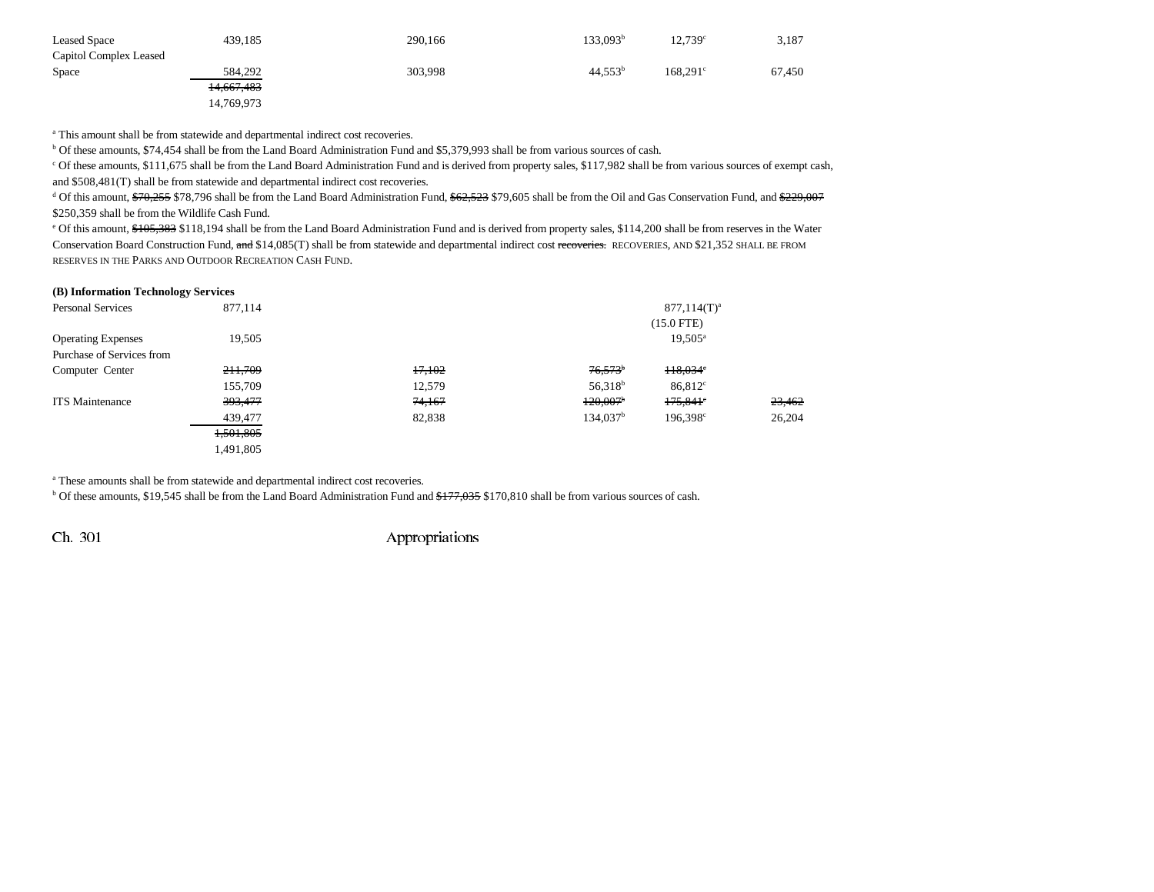| <b>Leased Space</b>    | 439,185    | 290,166 | 133.093 <sup>b</sup> | $12,739^{\circ}$  | 3,187  |
|------------------------|------------|---------|----------------------|-------------------|--------|
| Capitol Complex Leased |            |         |                      |                   |        |
| Space                  | 584,292    | 303,998 | 44.553 <sup>b</sup>  | $168.291^{\circ}$ | 67,450 |
|                        | 14,667,483 |         |                      |                   |        |
|                        | 14,769,973 |         |                      |                   |        |

<sup>a</sup> This amount shall be from statewide and departmental indirect cost recoveries.

<sup>b</sup> Of these amounts, \$74,454 shall be from the Land Board Administration Fund and \$5,379,993 shall be from various sources of cash.<br><sup>c</sup> Of these amounts, \$111,675 shall be from the Land Board Administration Fund and is de and \$508,481(T) shall be from statewide and departmental indirect cost recoveries.

 $d$  Of this amount,  $\frac{670.255}{1000}$  \$78,796 shall be from the Land Board Administration Fund,  $\frac{62.523}{1000}$  \$72,605 shall be from the Oil and Gas Conservation Fund, and \$229,007 \$250,359 shall be from the Wildlife Cash Fund.

<sup>e</sup> Of this amount, \$105,383 \$118,194 shall be from the Land Board Administration Fund and is derived from property sales, \$114,200 shall be from reserves in the Water Conservation Board Construction Fund, and \$14,085(T) shall be from statewide and departmental indirect cost recoveries. RECOVERIES, AND \$21,352 SHALL BE FROM RESERVES IN THE PARKS AND OUTDOOR RECREATION CASH FUND.

| (B) Information Technology Services |        |                        |                      |        |
|-------------------------------------|--------|------------------------|----------------------|--------|
| 877,114                             |        |                        | $877,114(T)^a$       |        |
|                                     |        |                        | $(15.0$ FTE)         |        |
| 19,505                              |        |                        | $19,505^{\rm a}$     |        |
|                                     |        |                        |                      |        |
| 211,709                             | 17,102 | $76,573$ <sup>b</sup>  | $H8,034^{\circ}$     |        |
| 155,709                             | 12,579 | 56,318 <sup>b</sup>    | $86,812^{\circ}$     |        |
| 393,477                             | 74,167 | $120,007$ <sup>b</sup> | $175,841$ °          | 23,462 |
| 439,477                             | 82,838 | 134.037 <sup>b</sup>   | 196,398 <sup>c</sup> | 26,204 |
| 1,501,805                           |        |                        |                      |        |
| 1,491,805                           |        |                        |                      |        |
|                                     |        |                        |                      |        |

a These amounts shall be from statewide and departmental indirect cost recoveries.

 $b$  Of these amounts, \$19,545 shall be from the Land Board Administration Fund and  $\frac{177,035}{177,035}$  \$170,810 shall be from various sources of cash.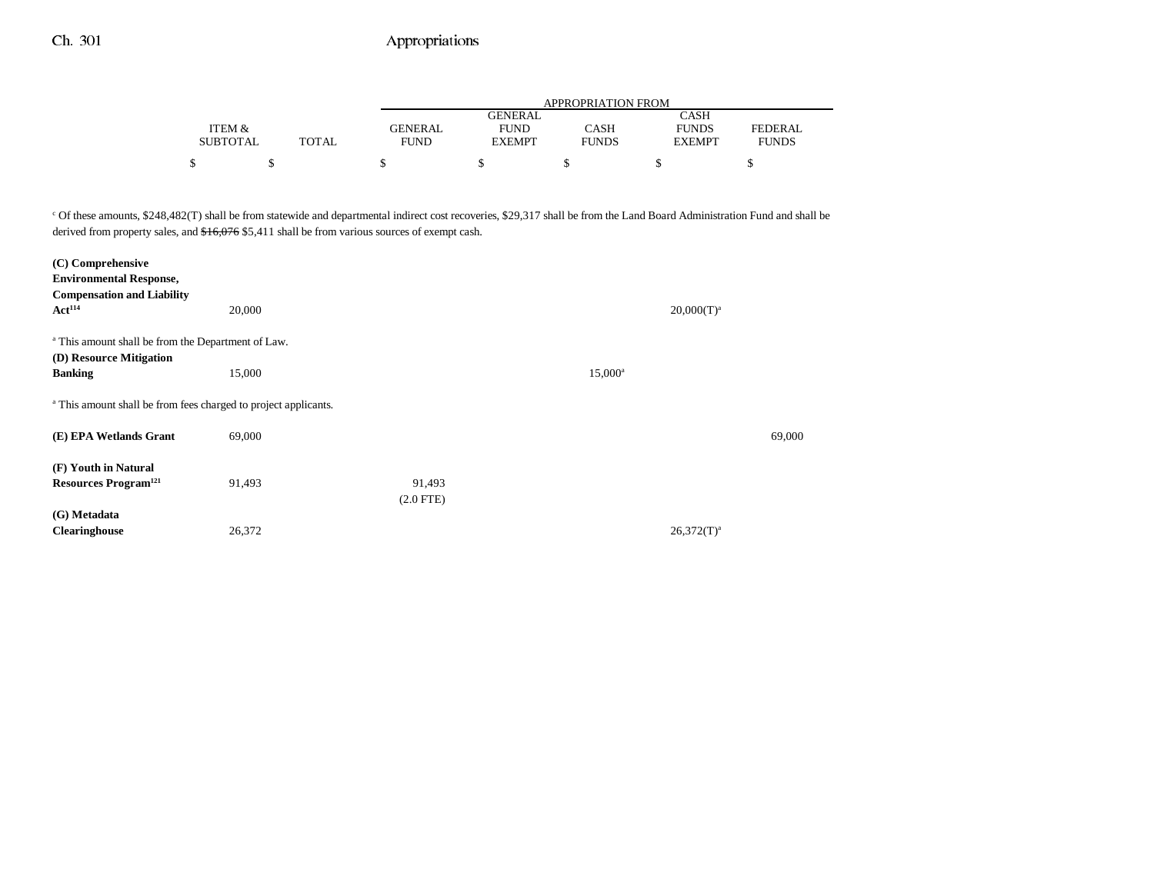|                 |       | APPROPRIATION FROM |               |              |               |                |  |  |
|-----------------|-------|--------------------|---------------|--------------|---------------|----------------|--|--|
|                 |       |                    | GENERAL       |              | CASH          |                |  |  |
| ITEM &          |       | GENERAL            | <b>FUND</b>   | CASH         | <b>FUNDS</b>  | <b>FEDERAL</b> |  |  |
| <b>SUBTOTAL</b> | TOTAL | <b>FUND</b>        | <b>EXEMPT</b> | <b>FUNDS</b> | <b>EXEMPT</b> | <b>FUNDS</b>   |  |  |
| ¢               |       |                    |               |              |               |                |  |  |

c Of these amounts, \$248,482(T) shall be from statewide and departmental indirect cost recoveries, \$29,317 shall be from the Land Board Administration Fund and shall be derived from property sales, and  $$16,076$  \$5,411 shall be from various sources of exempt cash.

| (C) Comprehensive                                                          |        |             |                  |               |        |
|----------------------------------------------------------------------------|--------|-------------|------------------|---------------|--------|
| <b>Environmental Response,</b>                                             |        |             |                  |               |        |
| <b>Compensation and Liability</b>                                          |        |             |                  |               |        |
| Act <sup>114</sup>                                                         | 20,000 |             |                  | $20,000(T)^a$ |        |
| <sup>a</sup> This amount shall be from the Department of Law.              |        |             |                  |               |        |
| (D) Resource Mitigation                                                    |        |             |                  |               |        |
| <b>Banking</b>                                                             | 15,000 |             | $15,000^{\rm a}$ |               |        |
| <sup>a</sup> This amount shall be from fees charged to project applicants. |        |             |                  |               |        |
| (E) EPA Wetlands Grant                                                     | 69,000 |             |                  |               | 69,000 |
| (F) Youth in Natural                                                       |        |             |                  |               |        |
| <b>Resources Program</b> <sup>121</sup>                                    | 91,493 | 91,493      |                  |               |        |
|                                                                            |        | $(2.0$ FTE) |                  |               |        |
| (G) Metadata                                                               |        |             |                  |               |        |
| <b>Clearinghouse</b>                                                       | 26,372 |             |                  | $26,372(T)^a$ |        |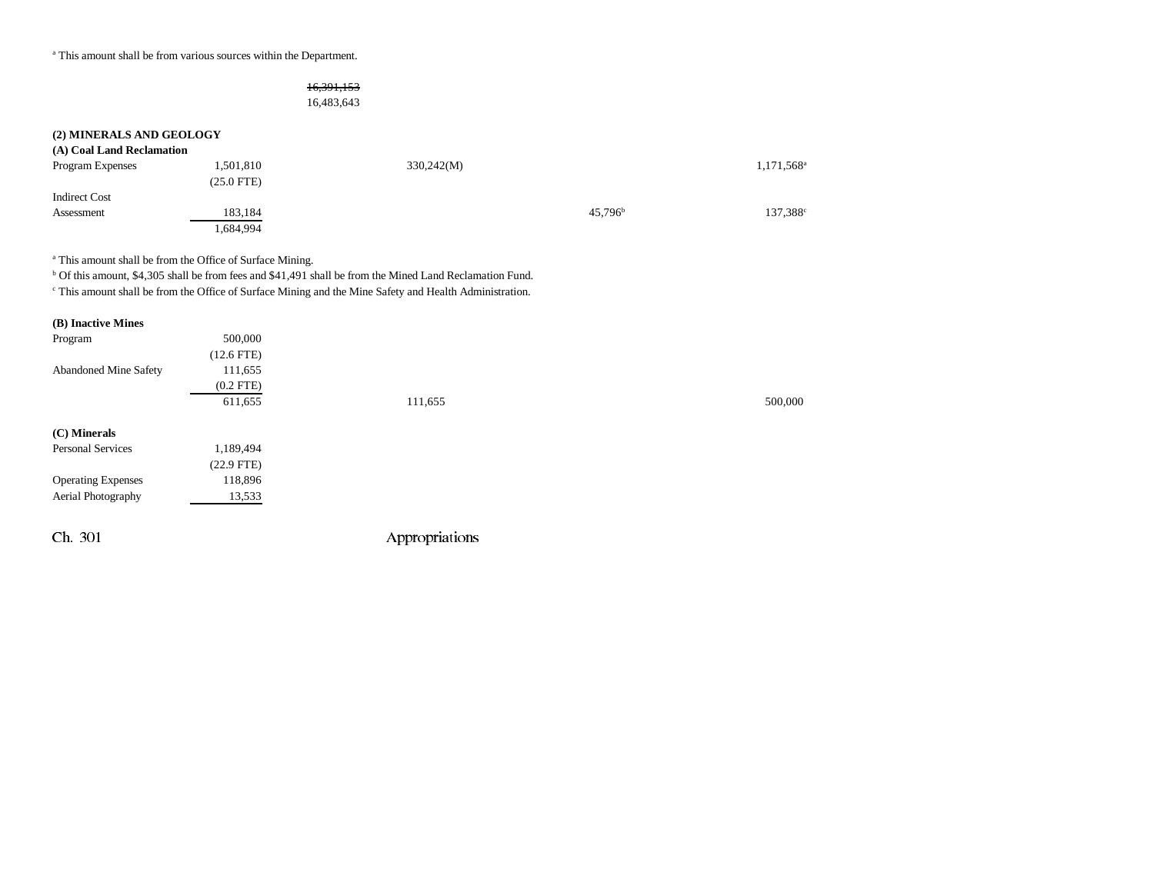a This amount shall be from various sources within the Department.

### 16,391,153

16,483,643

| (2) MINERALS AND GEOLOGY  |                           |            |                  |                        |
|---------------------------|---------------------------|------------|------------------|------------------------|
| (A) Coal Land Reclamation |                           |            |                  |                        |
| Program Expenses          | 1,501,810<br>$(25.0$ FTE) | 330,242(M) |                  | 1,171,568 <sup>a</sup> |
| <b>Indirect Cost</b>      |                           |            |                  |                        |
| Assessment                | 183,184                   |            | $45.796^{\rm b}$ | 137,388 <sup>c</sup>   |
|                           | 1,684,994                 |            |                  |                        |

a This amount shall be from the Office of Surface Mining.

b Of this amount, \$4,305 shall be from fees and \$41,491 shall be from the Mined Land Reclamation Fund.

c This amount shall be from the Office of Surface Mining and the Mine Safety and Health Administration.

| (B) Inactive Mines           |                 |                |         |
|------------------------------|-----------------|----------------|---------|
| Program                      | 500,000         |                |         |
|                              | $(12.6$ FTE $)$ |                |         |
| <b>Abandoned Mine Safety</b> | 111,655         |                |         |
|                              | $(0.2$ FTE $)$  |                |         |
|                              | 611,655         | 111,655        | 500,000 |
| (C) Minerals                 |                 |                |         |
| Personal Services            | 1,189,494       |                |         |
|                              | $(22.9$ FTE)    |                |         |
| <b>Operating Expenses</b>    | 118,896         |                |         |
| Aerial Photography           | 13,533          |                |         |
|                              |                 |                |         |
| Ch. 301                      |                 | Appropriations |         |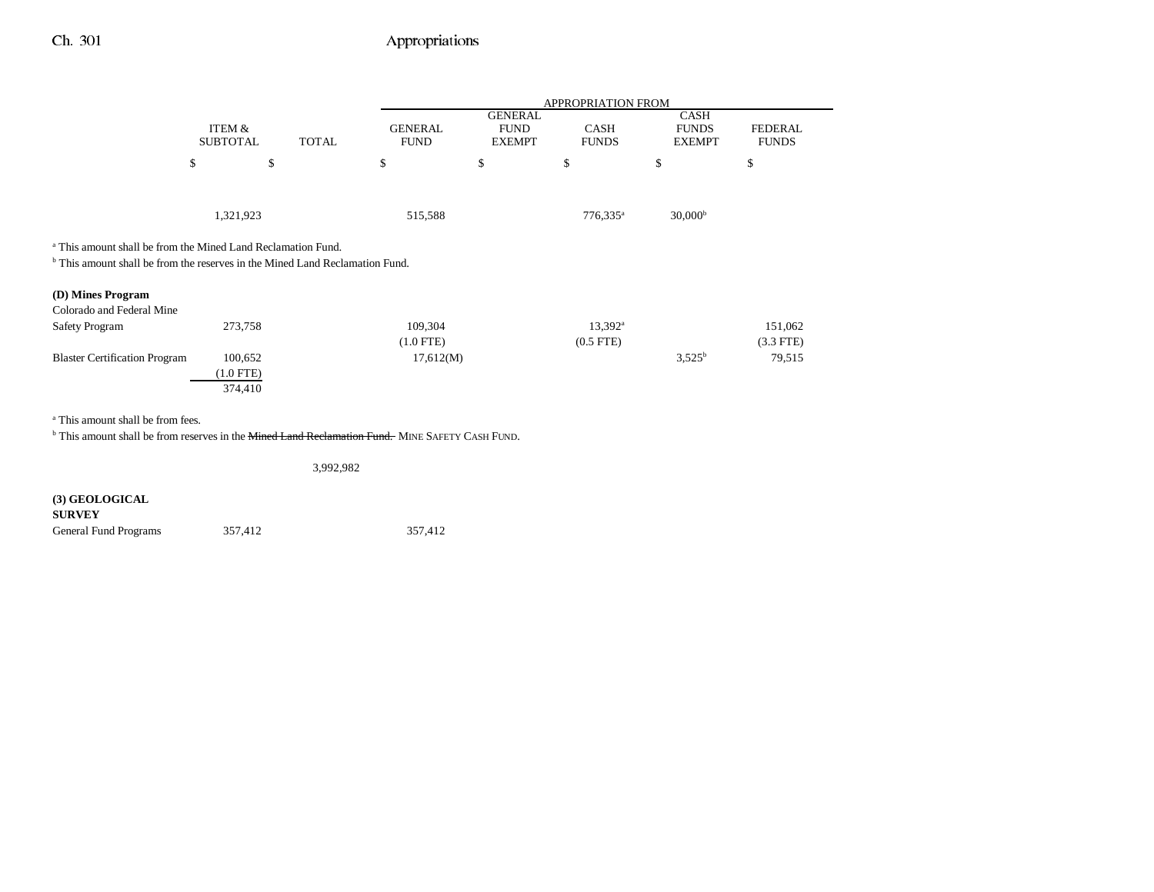|                                                                                                                                                                    |                                      |              | <b>APPROPRIATION FROM</b>     |                                                |                                    |                                              |                                |  |
|--------------------------------------------------------------------------------------------------------------------------------------------------------------------|--------------------------------------|--------------|-------------------------------|------------------------------------------------|------------------------------------|----------------------------------------------|--------------------------------|--|
|                                                                                                                                                                    | ITEM &<br><b>SUBTOTAL</b>            | <b>TOTAL</b> | <b>GENERAL</b><br><b>FUND</b> | <b>GENERAL</b><br><b>FUND</b><br><b>EXEMPT</b> | CASH<br><b>FUNDS</b>               | <b>CASH</b><br><b>FUNDS</b><br><b>EXEMPT</b> | <b>FEDERAL</b><br><b>FUNDS</b> |  |
|                                                                                                                                                                    | \$                                   | \$           | \$                            | \$                                             | \$                                 | \$                                           | \$                             |  |
|                                                                                                                                                                    | 1,321,923                            |              | 515,588                       |                                                | $776,335^{\circ}$                  | 30,000 <sup>b</sup>                          |                                |  |
| <sup>a</sup> This amount shall be from the Mined Land Reclamation Fund.<br><sup>b</sup> This amount shall be from the reserves in the Mined Land Reclamation Fund. |                                      |              |                               |                                                |                                    |                                              |                                |  |
| (D) Mines Program<br>Colorado and Federal Mine                                                                                                                     |                                      |              |                               |                                                |                                    |                                              |                                |  |
| Safety Program                                                                                                                                                     | 273,758                              |              | 109,304<br>$(1.0$ FTE)        |                                                | $13,392^{\rm a}$<br>$(0.5$ FTE $)$ |                                              | 151,062<br>$(3.3$ FTE)         |  |
| <b>Blaster Certification Program</b>                                                                                                                               | 100,652<br>$(1.0$ FTE $)$<br>374,410 |              | 17,612(M)                     |                                                |                                    | $3,525^b$                                    | 79,515                         |  |
| 2.0001<br>$\sim$ $\sim$ $\sim$ $\sim$ $\sim$ $\sim$ $\sim$                                                                                                         |                                      |              |                               |                                                |                                    |                                              |                                |  |

a This amount shall be from fees.

 $^{\rm b}$  This amount shall be from reserves in the <del>Mined Land Reclamation Fund.</del> MINE SAFETY CASH FUND.

3,992,982

**(3) GEOLOGICAL SURVEY** General Fund Programs 357,412 357,412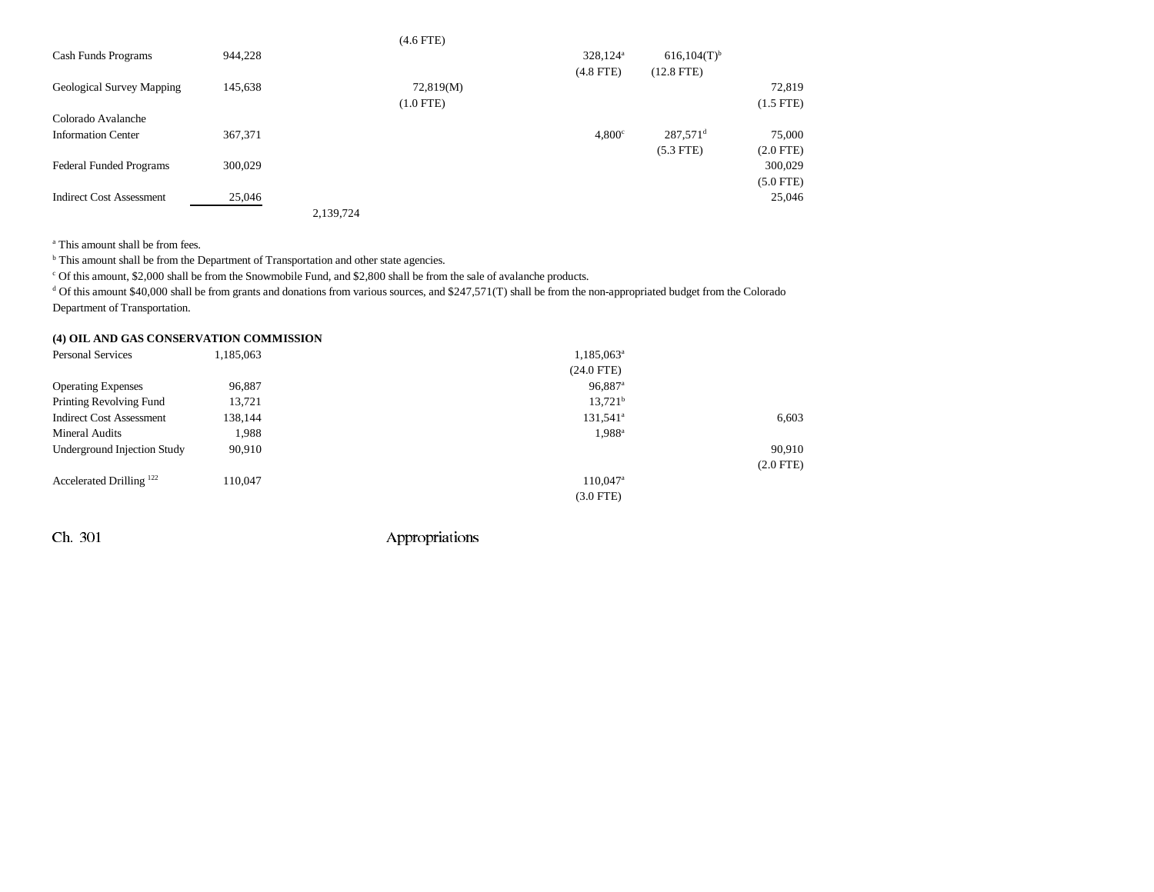|                                 |         |           | $(4.6$ FTE $)$ |                      |                           |                |
|---------------------------------|---------|-----------|----------------|----------------------|---------------------------|----------------|
| Cash Funds Programs             | 944,228 |           |                | 328,124 <sup>a</sup> | $616,104(T)$ <sup>b</sup> |                |
|                                 |         |           |                | $(4.8$ FTE)          | $(12.8$ FTE)              |                |
| Geological Survey Mapping       | 145,638 |           | 72,819(M)      |                      |                           | 72,819         |
|                                 |         |           | $(1.0$ FTE $)$ |                      |                           | $(1.5$ FTE)    |
| Colorado Avalanche              |         |           |                |                      |                           |                |
| <b>Information Center</b>       | 367,371 |           |                | $4,800^\circ$        | $287,571$ <sup>d</sup>    | 75,000         |
|                                 |         |           |                |                      | $(5.3$ FTE)               | $(2.0$ FTE $)$ |
| <b>Federal Funded Programs</b>  | 300,029 |           |                |                      |                           | 300,029        |
|                                 |         |           |                |                      |                           | $(5.0$ FTE)    |
| <b>Indirect Cost Assessment</b> | 25,046  |           |                |                      |                           | 25,046         |
|                                 |         | 2,139,724 |                |                      |                           |                |

a This amount shall be from fees.

 $<sup>b</sup>$  This amount shall be from the Department of Transportation and other state agencies.</sup>

c Of this amount, \$2,000 shall be from the Snowmobile Fund, and \$2,800 shall be from the sale of avalanche products.

 $d$  Of this amount \$40,000 shall be from grants and donations from various sources, and \$247,571(T) shall be from the non-appropriated budget from the Colorado Department of Transportation.

### **(4) OIL AND GAS CONSERVATION COMMISSION**

| 1,185,063 | $1,185,063^{\circ}$    |             |
|-----------|------------------------|-------------|
|           | $(24.0$ FTE)           |             |
| 96,887    | $96,887$ <sup>a</sup>  |             |
| 13,721    | $13,721^b$             |             |
| 138,144   | $131,541$ <sup>a</sup> | 6,603       |
| 1,988     | 1,988 <sup>a</sup>     |             |
| 90,910    |                        | 90,910      |
|           |                        | $(2.0$ FTE) |
| 110,047   | $110,047$ <sup>a</sup> |             |
|           | $(3.0$ FTE)            |             |
|           |                        |             |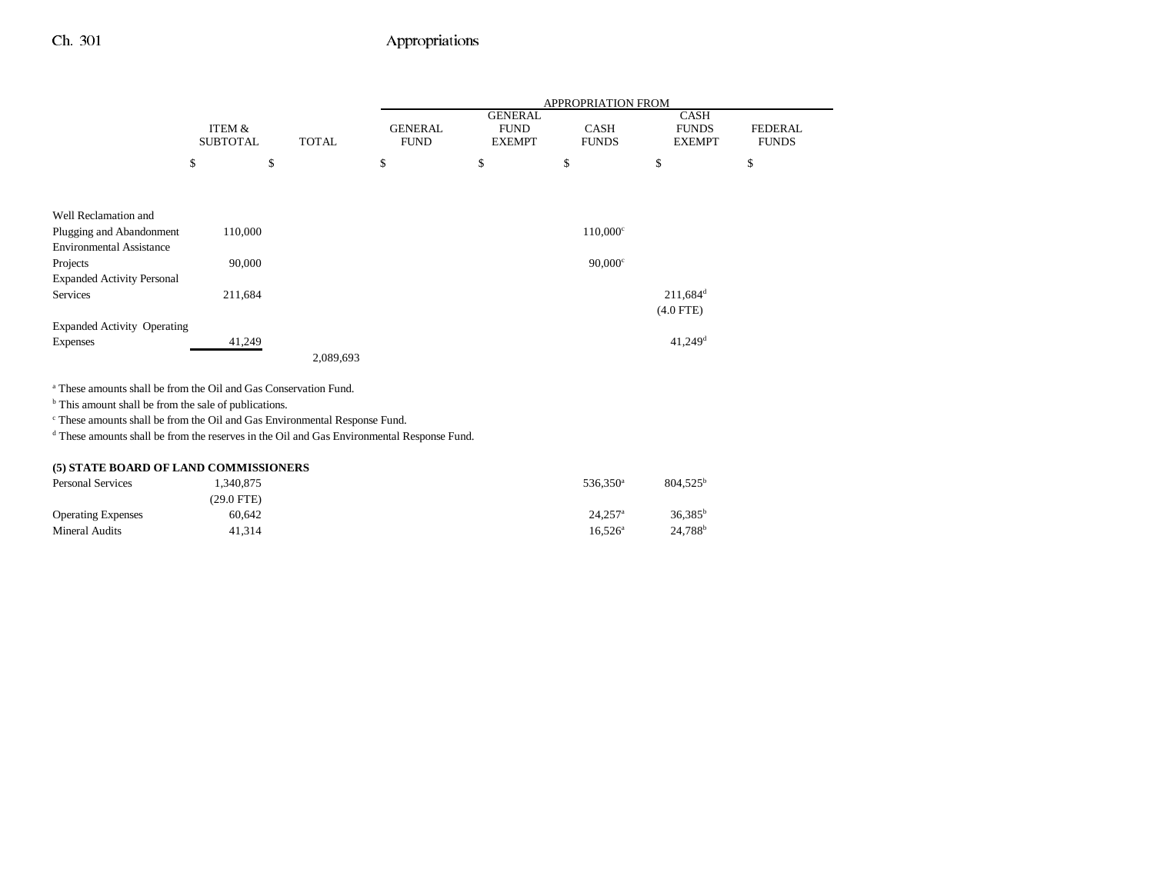$\overline{\phantom{a}}$ 

|                                                                             |                 |              |             | APPROPRIATION FROM |                               |                        |                |  |
|-----------------------------------------------------------------------------|-----------------|--------------|-------------|--------------------|-------------------------------|------------------------|----------------|--|
|                                                                             |                 |              |             |                    | <b>GENERAL</b>                | CASH                   |                |  |
|                                                                             | ITEM &          |              |             | <b>GENERAL</b>     | <b>FUND</b><br><b>CASH</b>    | <b>FUNDS</b>           | <b>FEDERAL</b> |  |
|                                                                             | <b>SUBTOTAL</b> | <b>TOTAL</b> | <b>FUND</b> |                    | <b>EXEMPT</b><br><b>FUNDS</b> | <b>EXEMPT</b>          | <b>FUNDS</b>   |  |
|                                                                             | \$              | \$           | \$          | \$                 | \$                            | \$                     | \$             |  |
|                                                                             |                 |              |             |                    |                               |                        |                |  |
|                                                                             |                 |              |             |                    |                               |                        |                |  |
| Well Reclamation and                                                        |                 |              |             |                    |                               |                        |                |  |
| Plugging and Abandonment                                                    | 110,000         |              |             |                    | $110,000$ <sup>c</sup>        |                        |                |  |
| <b>Environmental Assistance</b>                                             |                 |              |             |                    |                               |                        |                |  |
| Projects                                                                    | 90,000          |              |             |                    |                               | $90,000$ <sup>c</sup>  |                |  |
| <b>Expanded Activity Personal</b>                                           |                 |              |             |                    |                               |                        |                |  |
| Services                                                                    | 211,684         |              |             |                    |                               | $211,684$ <sup>d</sup> |                |  |
|                                                                             |                 |              |             |                    |                               | $(4.0$ FTE)            |                |  |
| <b>Expanded Activity Operating</b>                                          |                 |              |             |                    |                               |                        |                |  |
| <b>Expenses</b>                                                             | 41,249          |              |             |                    |                               | $41,249$ <sup>d</sup>  |                |  |
|                                                                             |                 |              | 2,089,693   |                    |                               |                        |                |  |
|                                                                             |                 |              |             |                    |                               |                        |                |  |
| <sup>a</sup> These amounts shall be from the Oil and Gas Conservation Fund. |                 |              |             |                    |                               |                        |                |  |
| <sup>b</sup> This amount shall be from the sale of publications.            |                 |              |             |                    |                               |                        |                |  |

 $^{\mathrm{c}}$  These amounts shall be from the Oil and Gas Environmental Response Fund.

d These amounts shall be from the reserves in the Oil and Gas Environmental Response Fund.

### **(5) STATE BOARD OF LAND COMMISSIONERS**

| <b>Personal Services</b>  | 1,340,875  | 536.350 <sup>a</sup>  | $804.525^{\circ}$   |
|---------------------------|------------|-----------------------|---------------------|
|                           | (29.0 FTE) |                       |                     |
| <b>Operating Expenses</b> | 60.642     | $24.257$ <sup>a</sup> | $36.385^b$          |
| Mineral Audits            | 41.314     | $16.526^{\circ}$      | 24.788 <sup>b</sup> |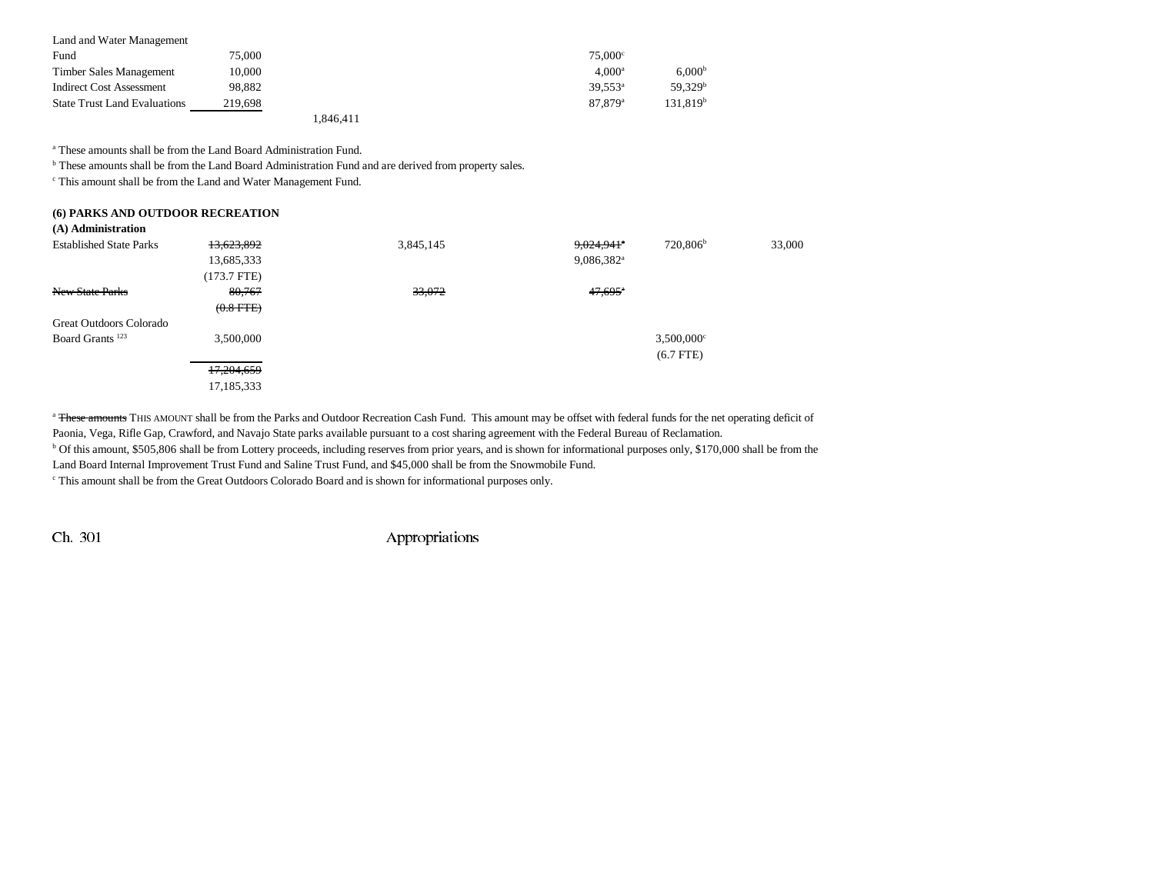| Land and Water Management           |         |           |                     |                      |
|-------------------------------------|---------|-----------|---------------------|----------------------|
| Fund                                | 75,000  |           | $75.000^{\circ}$    |                      |
| Timber Sales Management             | 10.000  |           | $4.000^{\rm a}$     | 6.000 <sup>b</sup>   |
| <b>Indirect Cost Assessment</b>     | 98.882  |           | $39.553^{\circ}$    | 59.329 <sup>b</sup>  |
| <b>State Trust Land Evaluations</b> | 219.698 |           | 87.879 <sup>a</sup> | 131.819 <sup>b</sup> |
|                                     |         | 1.846.411 |                     |                      |

a These amounts shall be from the Land Board Administration Fund.

**b** These amounts shall be from the Land Board Administration Fund and are derived from property sales.

c This amount shall be from the Land and Water Management Fund.

| (6) PARKS AND OUTDOOR RECREATION<br>(A) Administration |                |           |                          |                          |        |
|--------------------------------------------------------|----------------|-----------|--------------------------|--------------------------|--------|
| <b>Established State Parks</b>                         | 13,623,892     | 3,845,145 | $9,024,941$ <sup>*</sup> | 720,806 <sup>b</sup>     | 33,000 |
|                                                        | 13,685,333     |           | $9,086,382$ <sup>a</sup> |                          |        |
|                                                        | (173.7 FTE)    |           |                          |                          |        |
| New State Parks                                        | 80,767         | 33,072    | $47,695$ <sup>*</sup>    |                          |        |
|                                                        | $(0.8$ FTE $)$ |           |                          |                          |        |
| Great Outdoors Colorado                                |                |           |                          |                          |        |
| Board Grants <sup>123</sup>                            | 3,500,000      |           |                          | $3,500,000$ <sup>c</sup> |        |
|                                                        |                |           |                          | $(6.7$ FTE)              |        |
|                                                        | 17,204,659     |           |                          |                          |        |
|                                                        | 17,185,333     |           |                          |                          |        |

<sup>a</sup> These amounts THIS AMOUNT shall be from the Parks and Outdoor Recreation Cash Fund. This amount may be offset with federal funds for the net operating deficit of Paonia, Vega, Rifle Gap, Crawford, and Navajo State parks available pursuant to a cost sharing agreement with the Federal Bureau of Reclamation.

<sup>b</sup> Of this amount, \$505,806 shall be from Lottery proceeds, including reserves from prior years, and is shown for informational purposes only, \$170,000 shall be from the

Land Board Internal Improvement Trust Fund and Saline Trust Fund, and \$45,000 shall be from the Snowmobile Fund.

c This amount shall be from the Great Outdoors Colorado Board and is shown for informational purposes only.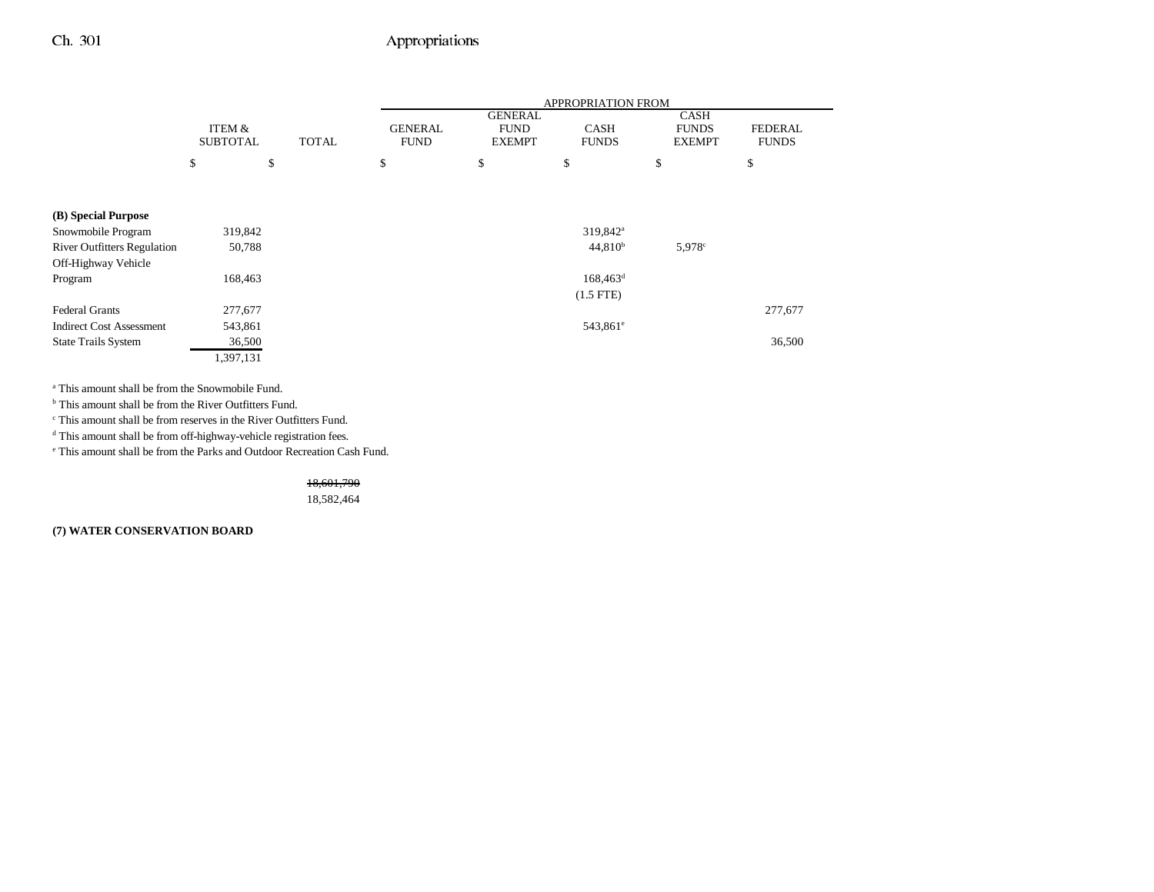|                                    |                 |              | <b>APPROPRIATION FROM</b> |                               |                      |                             |                |
|------------------------------------|-----------------|--------------|---------------------------|-------------------------------|----------------------|-----------------------------|----------------|
|                                    | ITEM &          |              | <b>GENERAL</b>            | <b>GENERAL</b><br><b>FUND</b> | <b>CASH</b>          | <b>CASH</b><br><b>FUNDS</b> | <b>FEDERAL</b> |
|                                    | <b>SUBTOTAL</b> | <b>TOTAL</b> | <b>FUND</b>               | <b>EXEMPT</b>                 | <b>FUNDS</b>         | <b>EXEMPT</b>               | <b>FUNDS</b>   |
|                                    | \$              | \$           | \$                        | \$                            | \$                   | \$                          | \$             |
|                                    |                 |              |                           |                               |                      |                             |                |
|                                    |                 |              |                           |                               |                      |                             |                |
| (B) Special Purpose                |                 |              |                           |                               |                      |                             |                |
| Snowmobile Program                 | 319,842         |              |                           |                               | 319,842 <sup>a</sup> |                             |                |
| <b>River Outfitters Regulation</b> | 50,788          |              |                           |                               | $44,810^{b}$         | 5,978 <sup>c</sup>          |                |
| Off-Highway Vehicle                |                 |              |                           |                               |                      |                             |                |
| Program                            | 168,463         |              |                           |                               | $168,463^d$          |                             |                |
|                                    |                 |              |                           |                               | $(1.5$ FTE)          |                             |                |
| <b>Federal Grants</b>              | 277,677         |              |                           |                               |                      |                             | 277,677        |
| <b>Indirect Cost Assessment</b>    | 543,861         |              |                           |                               | 543,861 <sup>e</sup> |                             |                |
| <b>State Trails System</b>         | 36,500          |              |                           |                               |                      |                             | 36,500         |
|                                    | 1,397,131       |              |                           |                               |                      |                             |                |

a This amount shall be from the Snowmobile Fund.

<sup>b</sup> This amount shall be from the River Outfitters Fund.

c This amount shall be from reserves in the River Outfitters Fund.

d This amount shall be from off-highway-vehicle registration fees.

e This amount shall be from the Parks and Outdoor Recreation Cash Fund.

18,601,790

18,582,464

**(7) WATER CONSERVATION BOARD**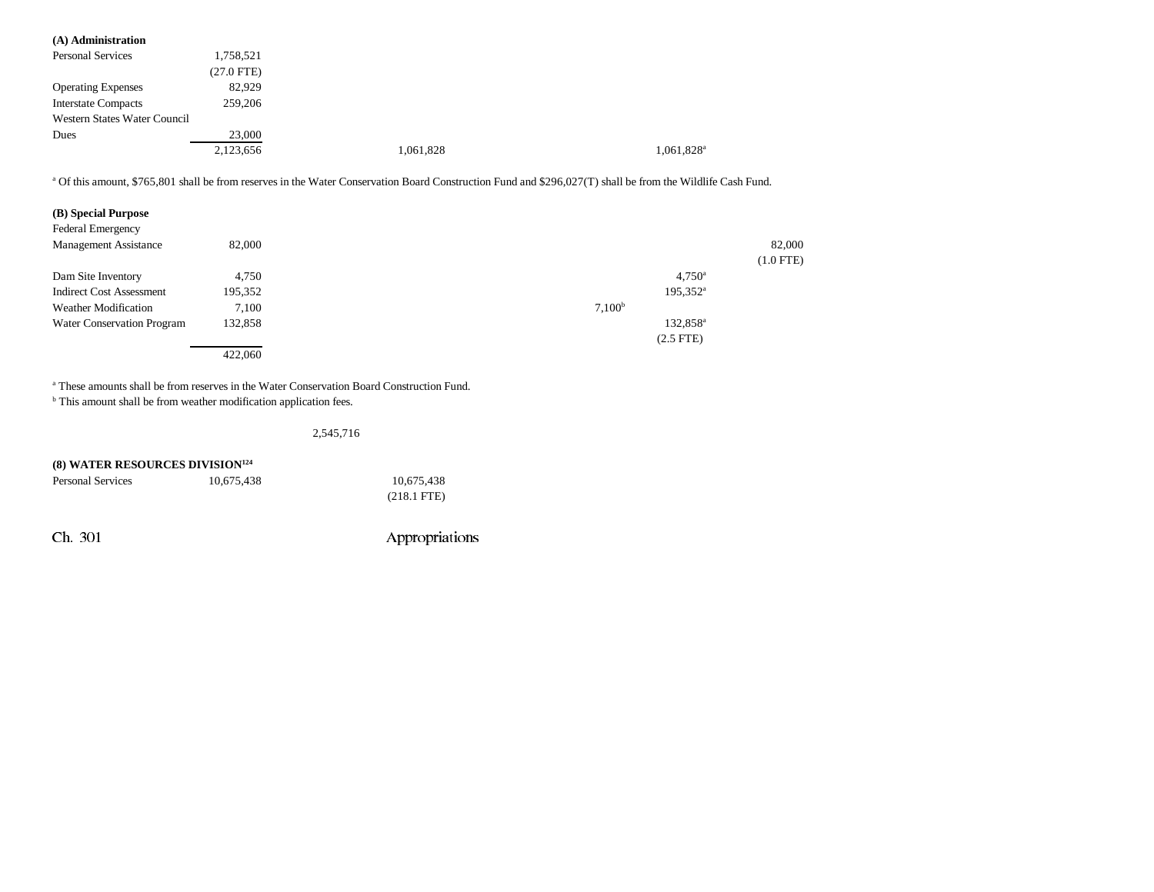| (A) Administration                                                                                                                                                     |              |           |                    |                        |             |
|------------------------------------------------------------------------------------------------------------------------------------------------------------------------|--------------|-----------|--------------------|------------------------|-------------|
| Personal Services                                                                                                                                                      | 1,758,521    |           |                    |                        |             |
|                                                                                                                                                                        | $(27.0$ FTE) |           |                    |                        |             |
| <b>Operating Expenses</b>                                                                                                                                              | 82,929       |           |                    |                        |             |
| <b>Interstate Compacts</b>                                                                                                                                             | 259,206      |           |                    |                        |             |
| Western States Water Council                                                                                                                                           |              |           |                    |                        |             |
| Dues                                                                                                                                                                   | 23,000       |           |                    |                        |             |
|                                                                                                                                                                        | 2,123,656    | 1,061,828 |                    | 1,061,828 <sup>a</sup> |             |
| <sup>a</sup> Of this amount, \$765,801 shall be from reserves in the Water Conservation Board Construction Fund and \$296,027(T) shall be from the Wildlife Cash Fund. |              |           |                    |                        |             |
| (B) Special Purpose<br>Federal Emergency                                                                                                                               |              |           |                    |                        |             |
| Management Assistance                                                                                                                                                  | 82,000       |           |                    |                        | 82,000      |
|                                                                                                                                                                        |              |           |                    |                        | $(1.0$ FTE) |
| Dam Site Inventory                                                                                                                                                     | 4,750        |           |                    | $4,750^{\circ}$        |             |
| <b>Indirect Cost Assessment</b>                                                                                                                                        | 195,352      |           |                    | $195,352^{\rm a}$      |             |
| <b>Weather Modification</b>                                                                                                                                            | 7,100        |           | 7,100 <sup>b</sup> |                        |             |
| <b>Water Conservation Program</b>                                                                                                                                      | 132,858      |           |                    | 132,858 <sup>a</sup>   |             |
|                                                                                                                                                                        |              |           |                    | $(2.5$ FTE $)$         |             |

a These amounts shall be from reserves in the Water Conservation Board Construction Fund.

 $^{\rm b}$  This amount shall be from weather modification application fees.

### 2,545,716

| <b>(8) WATER RESOURCES DIVISION<sup>124</sup></b> |            |                       |  |  |
|---------------------------------------------------|------------|-----------------------|--|--|
| Personal Services                                 | 10.675.438 | 10.675.438            |  |  |
|                                                   |            | $(218.1 \text{ FTE})$ |  |  |
|                                                   |            |                       |  |  |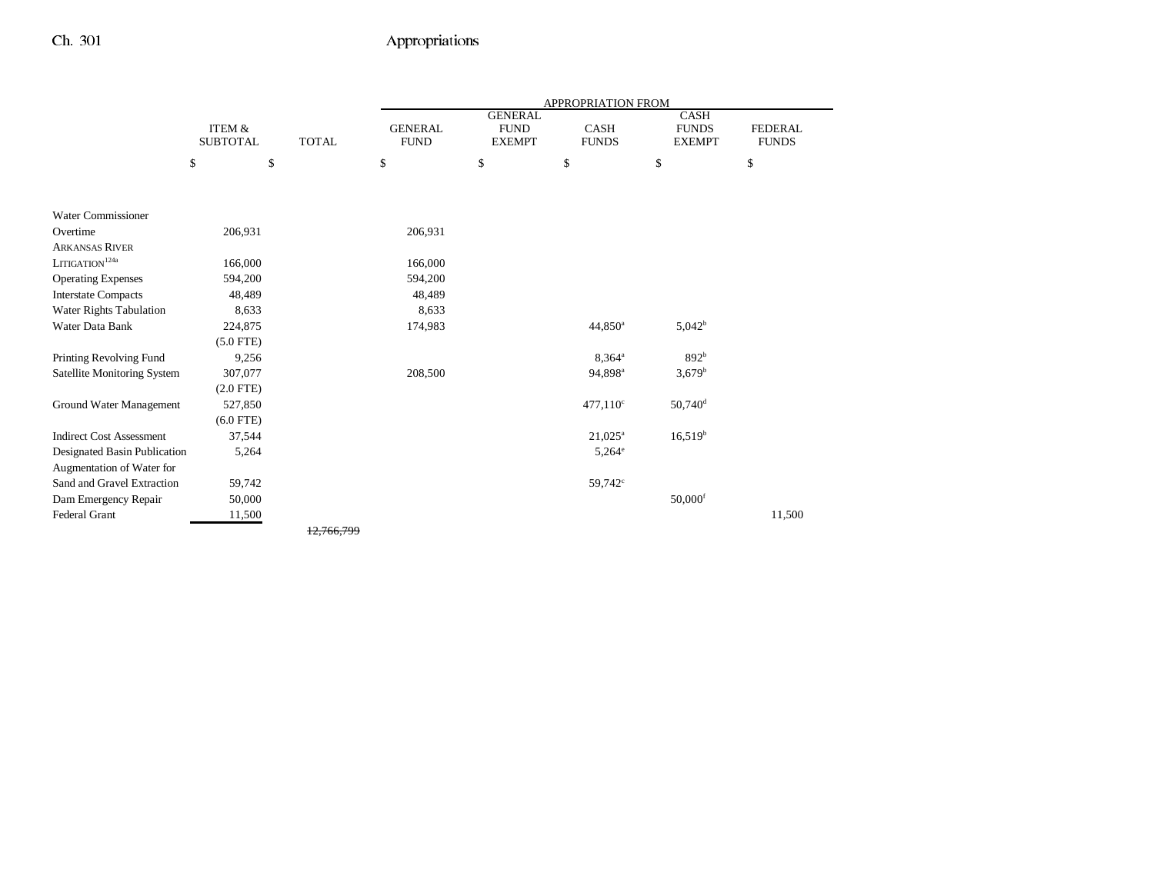|                                 |                                      |              |                               |                                                | APPROPRIATION FROM   |                                       |                                |
|---------------------------------|--------------------------------------|--------------|-------------------------------|------------------------------------------------|----------------------|---------------------------------------|--------------------------------|
|                                 | <b>ITEM &amp;</b><br><b>SUBTOTAL</b> | <b>TOTAL</b> | <b>GENERAL</b><br><b>FUND</b> | <b>GENERAL</b><br><b>FUND</b><br><b>EXEMPT</b> | CASH<br><b>FUNDS</b> | CASH<br><b>FUNDS</b><br><b>EXEMPT</b> | <b>FEDERAL</b><br><b>FUNDS</b> |
|                                 | \$                                   | \$           | \$                            | \$                                             | \$                   | \$                                    | \$                             |
|                                 |                                      |              |                               |                                                |                      |                                       |                                |
| <b>Water Commissioner</b>       |                                      |              |                               |                                                |                      |                                       |                                |
| Overtime                        | 206,931                              |              | 206,931                       |                                                |                      |                                       |                                |
| <b>ARKANSAS RIVER</b>           |                                      |              |                               |                                                |                      |                                       |                                |
| $\mbox{LITIGATION}^{124a}$      | 166,000                              |              | 166,000                       |                                                |                      |                                       |                                |
| <b>Operating Expenses</b>       | 594,200                              |              | 594,200                       |                                                |                      |                                       |                                |
| <b>Interstate Compacts</b>      | 48,489                               |              | 48,489                        |                                                |                      |                                       |                                |
| Water Rights Tabulation         | 8,633                                |              | 8,633                         |                                                |                      |                                       |                                |
| Water Data Bank                 | 224,875                              |              | 174,983                       |                                                | 44,850 <sup>a</sup>  | $5,042^b$                             |                                |
|                                 | $(5.0$ FTE)                          |              |                               |                                                |                      |                                       |                                |
| Printing Revolving Fund         | 9,256                                |              |                               |                                                | $8,364^{\circ}$      | 892 <sup>b</sup>                      |                                |
| Satellite Monitoring System     | 307,077                              |              | 208,500                       |                                                | 94,898 <sup>a</sup>  | $3,679^{\rm b}$                       |                                |
|                                 | $(2.0$ FTE)                          |              |                               |                                                |                      |                                       |                                |
| Ground Water Management         | 527,850                              |              |                               |                                                | $477,110^{\circ}$    | $50,740$ <sup>d</sup>                 |                                |
|                                 | $(6.0$ FTE)                          |              |                               |                                                |                      |                                       |                                |
| <b>Indirect Cost Assessment</b> | 37,544                               |              |                               |                                                | $21,025^{\rm a}$     | $16,519^{\rm b}$                      |                                |
| Designated Basin Publication    | 5,264                                |              |                               |                                                | $5,264^{\circ}$      |                                       |                                |
| Augmentation of Water for       |                                      |              |                               |                                                |                      |                                       |                                |
| Sand and Gravel Extraction      | 59,742                               |              |                               |                                                | $59,742^{\circ}$     |                                       |                                |
| Dam Emergency Repair            | 50,000                               |              |                               |                                                |                      | $50,000$ <sup>f</sup>                 |                                |
| Federal Grant                   | 11,500                               |              |                               |                                                |                      |                                       | 11,500                         |
|                                 |                                      | 12.766.799   |                               |                                                |                      |                                       |                                |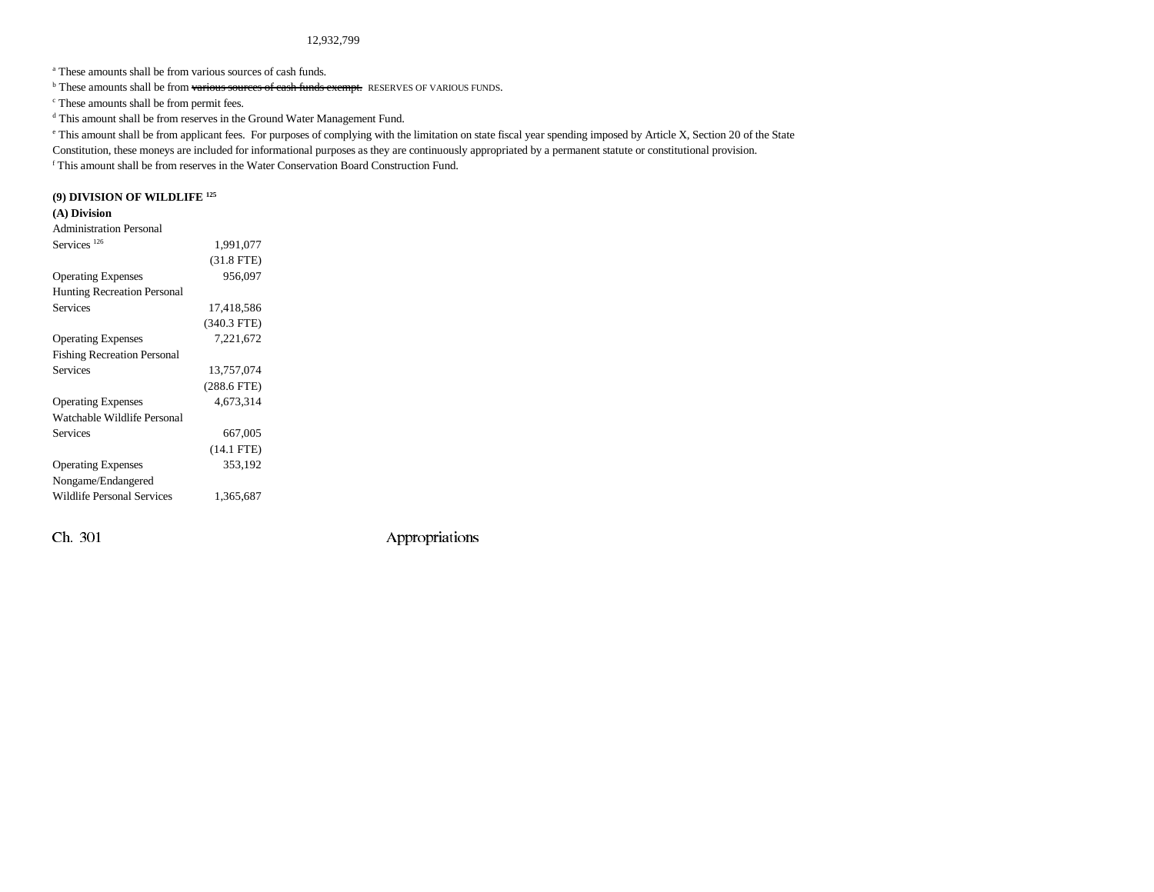#### 12,932,799

a These amounts shall be from various sources of cash funds.

 $\overline{b}$  These amounts shall be from various sources of cash funds exempt. RESERVES OF VARIOUS FUNDS.  $\overline{c}$  These amounts shall be from permit fees.

d This amount shall be from reserves in the Ground Water Management Fund.

e This amount shall be from applicant fees. For purposes of complying with the limitation on state fiscal year spending imposed by Article X, Section 20 of the State

Constitution, these moneys are included for informational purposes as they are continuously appropriated by a permanent statute or constitutional provision.

f This amount shall be from reserves in the Water Conservation Board Construction Fund.

### **(9) DIVISION OF WILDLIFE 125**

#### **(A) Division**

| <b>Administration Personal</b>     |               |  |
|------------------------------------|---------------|--|
| Services <sup>126</sup>            | 1,991,077     |  |
|                                    | $(31.8$ FTE)  |  |
| <b>Operating Expenses</b>          | 956,097       |  |
| <b>Hunting Recreation Personal</b> |               |  |
| <b>Services</b>                    | 17,418,586    |  |
|                                    | $(340.3$ FTE) |  |
| <b>Operating Expenses</b>          | 7,221,672     |  |
| <b>Fishing Recreation Personal</b> |               |  |
| <b>Services</b>                    | 13,757,074    |  |
|                                    | $(288.6$ FTE) |  |
| <b>Operating Expenses</b>          | 4.673.314     |  |
| Watchable Wildlife Personal        |               |  |
| <b>Services</b>                    | 667,005       |  |
|                                    | $(14.1$ FTE)  |  |
| <b>Operating Expenses</b>          | 353,192       |  |
| Nongame/Endangered                 |               |  |
| <b>Wildlife Personal Services</b>  | 1,365,687     |  |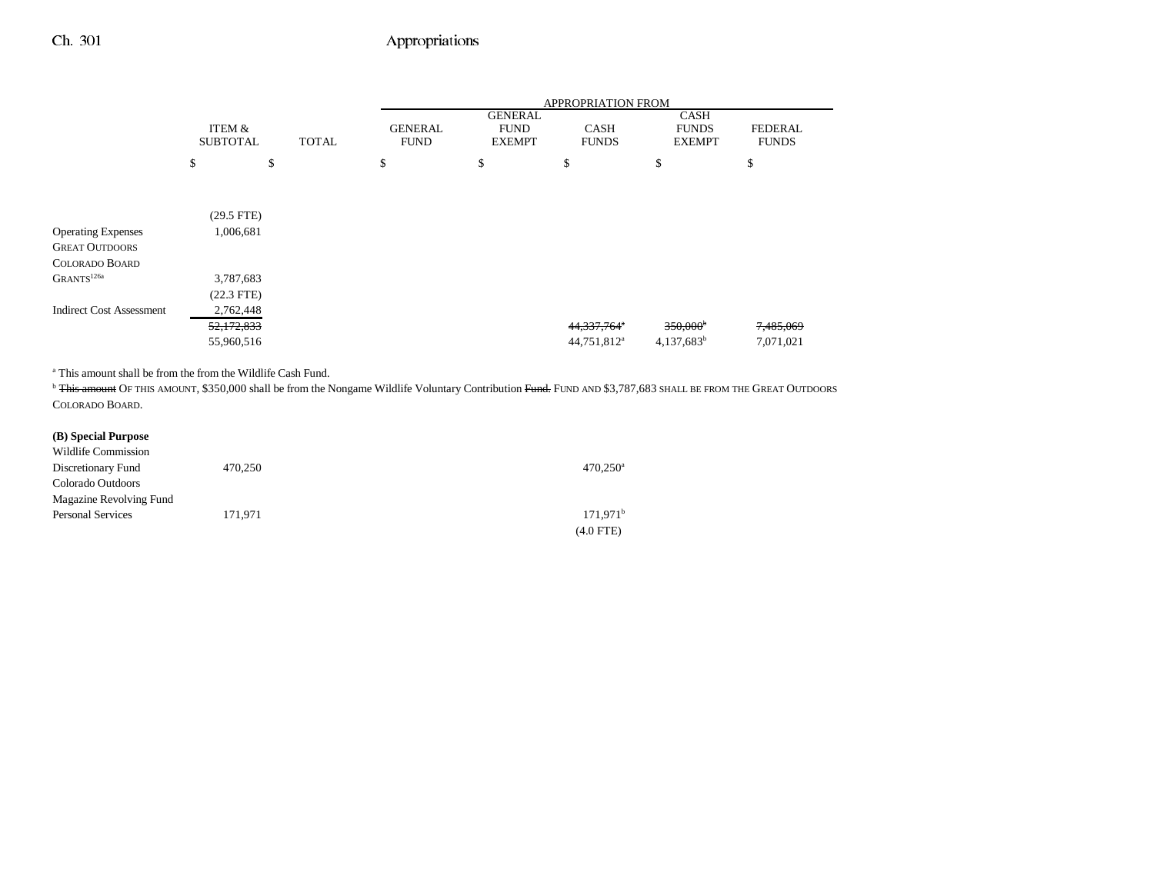|                                 |                           |              |                               |                                                | <b>APPROPRIATION FROM</b>   |                                              |                                |
|---------------------------------|---------------------------|--------------|-------------------------------|------------------------------------------------|-----------------------------|----------------------------------------------|--------------------------------|
|                                 | ITEM &<br><b>SUBTOTAL</b> | <b>TOTAL</b> | <b>GENERAL</b><br><b>FUND</b> | <b>GENERAL</b><br><b>FUND</b><br><b>EXEMPT</b> | <b>CASH</b><br><b>FUNDS</b> | <b>CASH</b><br><b>FUNDS</b><br><b>EXEMPT</b> | <b>FEDERAL</b><br><b>FUNDS</b> |
|                                 | \$                        | \$           | \$                            | \$                                             | \$                          | \$                                           | \$                             |
|                                 |                           |              |                               |                                                |                             |                                              |                                |
|                                 | $(29.5$ FTE)              |              |                               |                                                |                             |                                              |                                |
| <b>Operating Expenses</b>       | 1,006,681                 |              |                               |                                                |                             |                                              |                                |
| <b>GREAT OUTDOORS</b>           |                           |              |                               |                                                |                             |                                              |                                |
| <b>COLORADO BOARD</b>           |                           |              |                               |                                                |                             |                                              |                                |
| GRANTS <sup>126a</sup>          | 3,787,683                 |              |                               |                                                |                             |                                              |                                |
|                                 | $(22.3$ FTE)              |              |                               |                                                |                             |                                              |                                |
| <b>Indirect Cost Assessment</b> | 2,762,448                 |              |                               |                                                |                             |                                              |                                |
|                                 | 52,172,833                |              |                               |                                                | 44,337,764 <sup>a</sup>     | $350,000^{\circ}$                            | 7,485,069                      |
|                                 | 55,960,516                |              |                               |                                                | 44,751,812 <sup>a</sup>     | $4,137,683^b$                                | 7,071,021                      |

a This amount shall be from the from the Wildlife Cash Fund.

<sup>b</sup> <del>This amount</del> OF THIS AMOUNT, \$350,000 shall be from the Nongame Wildlife Voluntary Contribution <del>Fund.</del> FUND AND \$3,787,683 SHALL BE FROM THE GREAT OUTDOORS COLORADO BOARD.

#### **(B) Special Purpose**

| Wildlife Commission      |         |                        |
|--------------------------|---------|------------------------|
| Discretionary Fund       | 470.250 | $470.250$ <sup>a</sup> |
| Colorado Outdoors        |         |                        |
| Magazine Revolving Fund  |         |                        |
| <b>Personal Services</b> | 171.971 | 171.971 <sup>b</sup>   |
|                          |         | (4.0 FTE)              |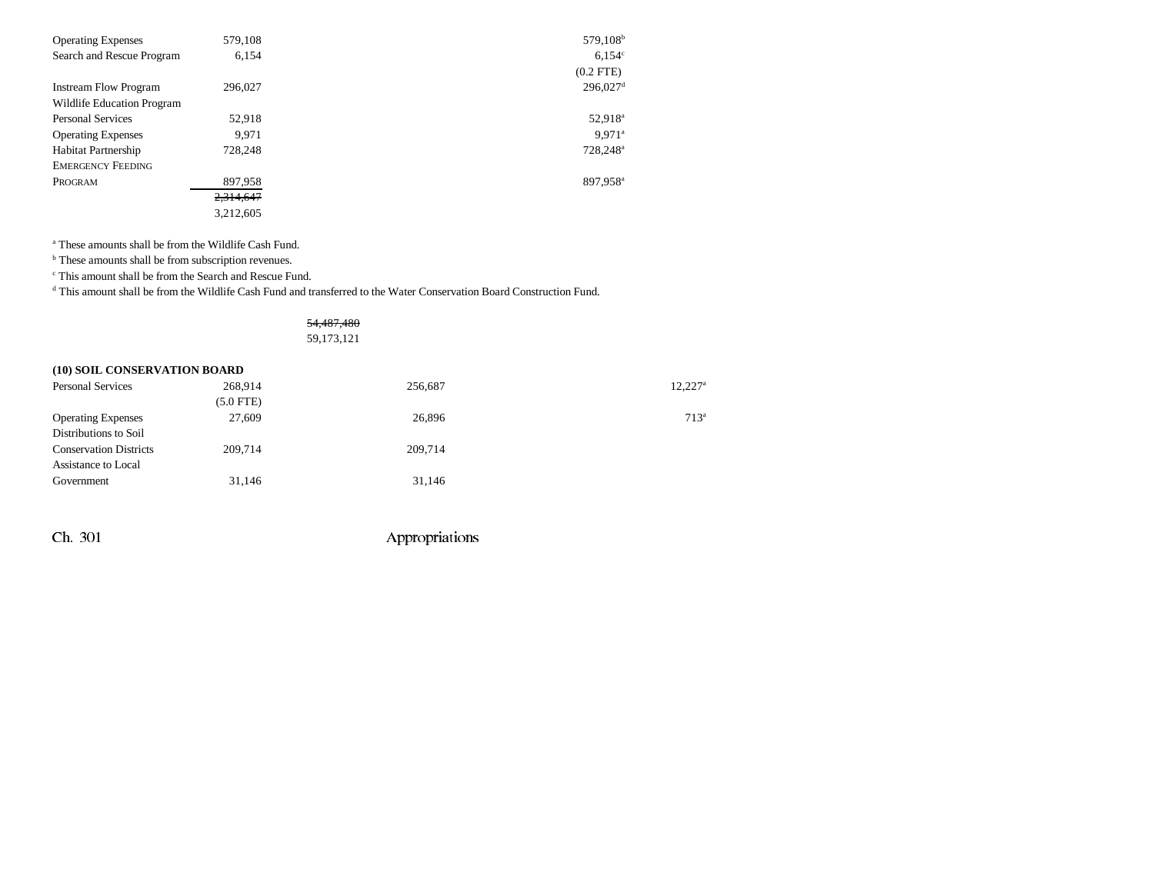| <b>Operating Expenses</b>    | 579,108   | 579,108 <sup>b</sup>   |
|------------------------------|-----------|------------------------|
| Search and Rescue Program    | 6,154     | 6.154c                 |
|                              |           | $(0.2$ FTE $)$         |
| <b>Instream Flow Program</b> | 296,027   | $296,027$ <sup>d</sup> |
| Wildlife Education Program   |           |                        |
| <b>Personal Services</b>     | 52.918    | 52,918 <sup>a</sup>    |
| <b>Operating Expenses</b>    | 9.971     | $9.971$ <sup>a</sup>   |
| <b>Habitat Partnership</b>   | 728,248   | 728,248 <sup>a</sup>   |
| <b>EMERGENCY FEEDING</b>     |           |                        |
| PROGRAM                      | 897,958   | 897,958 <sup>a</sup>   |
|                              | 2,314,647 |                        |
|                              | 3,212,605 |                        |

a These amounts shall be from the Wildlife Cash Fund.

**b** These amounts shall be from subscription revenues.

c This amount shall be from the Search and Rescue Fund.

d This amount shall be from the Wildlife Cash Fund and transferred to the Water Conservation Board Construction Fund.

### 54,487,480 59,173,121

| (10) SOIL CONSERVATION BOARD  |                |         |                       |  |  |
|-------------------------------|----------------|---------|-----------------------|--|--|
| <b>Personal Services</b>      | 268.914        | 256,687 | $12.227$ <sup>a</sup> |  |  |
|                               | $(5.0$ FTE $)$ |         |                       |  |  |
| <b>Operating Expenses</b>     | 27,609         | 26,896  | $713^a$               |  |  |
| Distributions to Soil         |                |         |                       |  |  |
| <b>Conservation Districts</b> | 209,714        | 209,714 |                       |  |  |
| Assistance to Local           |                |         |                       |  |  |
| Government                    | 31,146         | 31,146  |                       |  |  |
|                               |                |         |                       |  |  |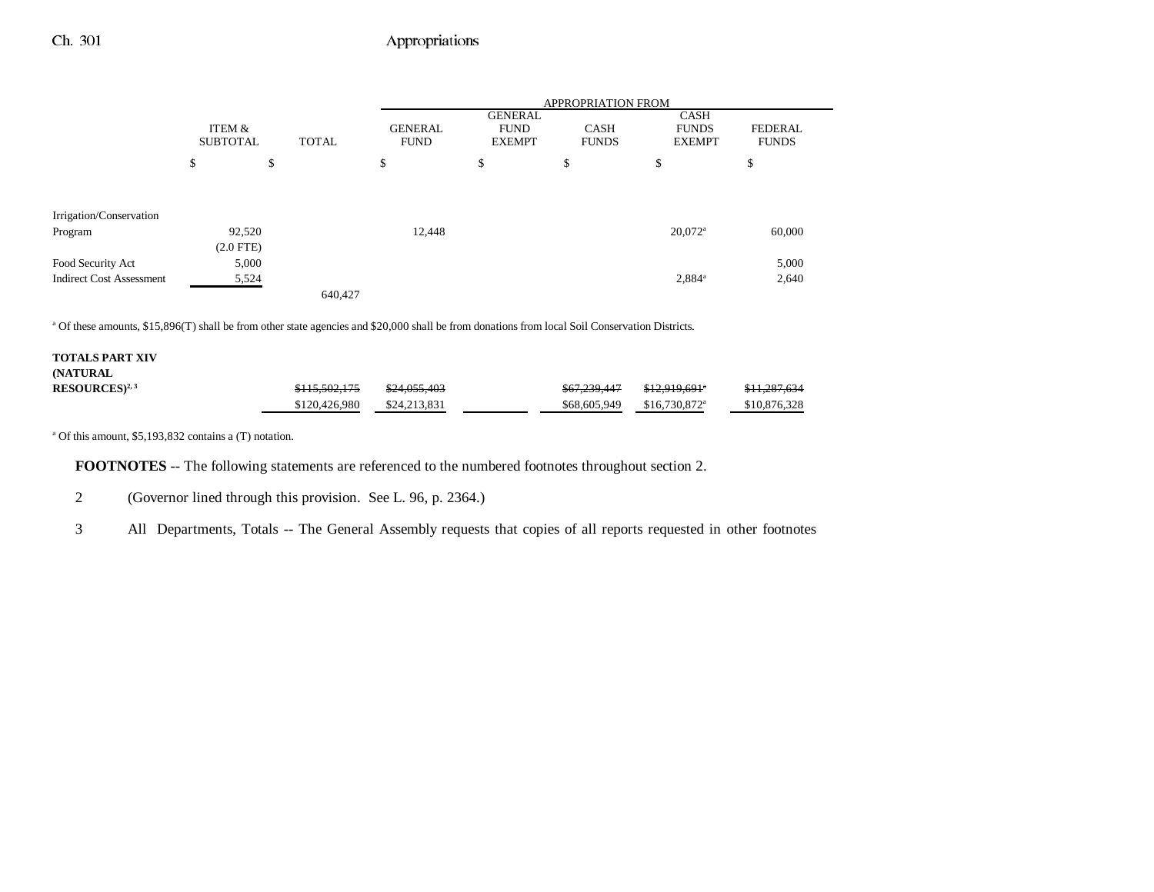|                                 |                           |    |              | <b>APPROPRIATION FROM</b>     |                                                |                             |                                              |                                |  |
|---------------------------------|---------------------------|----|--------------|-------------------------------|------------------------------------------------|-----------------------------|----------------------------------------------|--------------------------------|--|
|                                 | ITEM &<br><b>SUBTOTAL</b> |    | <b>TOTAL</b> | <b>GENERAL</b><br><b>FUND</b> | <b>GENERAL</b><br><b>FUND</b><br><b>EXEMPT</b> | <b>CASH</b><br><b>FUNDS</b> | <b>CASH</b><br><b>FUNDS</b><br><b>EXEMPT</b> | <b>FEDERAL</b><br><b>FUNDS</b> |  |
|                                 | \$                        | \$ |              | \$                            | \$                                             | \$                          | \$                                           | \$                             |  |
|                                 |                           |    |              |                               |                                                |                             |                                              |                                |  |
| Irrigation/Conservation         |                           |    |              |                               |                                                |                             |                                              |                                |  |
| Program                         | 92,520                    |    |              | 12,448                        |                                                |                             | $20,072$ <sup>a</sup>                        | 60,000                         |  |
|                                 | $(2.0$ FTE)               |    |              |                               |                                                |                             |                                              |                                |  |
| Food Security Act               | 5,000                     |    |              |                               |                                                |                             |                                              | 5,000                          |  |
| <b>Indirect Cost Assessment</b> | 5,524                     |    |              |                               |                                                |                             | 2,884 <sup>a</sup>                           | 2,640                          |  |
|                                 |                           |    | 640,427      |                               |                                                |                             |                                              |                                |  |

a Of these amounts, \$15,896(T) shall be from other state agencies and \$20,000 shall be from donations from local Soil Conservation Districts.

| <b>TOTALS PART XIV</b> |               |                         |              |                            |                         |
|------------------------|---------------|-------------------------|--------------|----------------------------|-------------------------|
| <b>(NATURAL)</b>       |               |                         |              |                            |                         |
| $RESOURCES)^{2,3}$     | \$115,502,175 | <del>\$24,055,403</del> | \$67,239,447 | <del>\$12.919.691</del> *  | <del>\$11,287,634</del> |
|                        | \$120,426,980 | \$24,213,831            | \$68,605,949 | $$16,730,872$ <sup>a</sup> | \$10,876,328            |

a Of this amount, \$5,193,832 contains a (T) notation.

**FOOTNOTES** -- The following statements are referenced to the numbered footnotes throughout section 2.

2 (Governor lined through this provision. See L. 96, p. 2364.)

3 All Departments, Totals -- The General Assembly requests that copies of all reports requested in other footnotes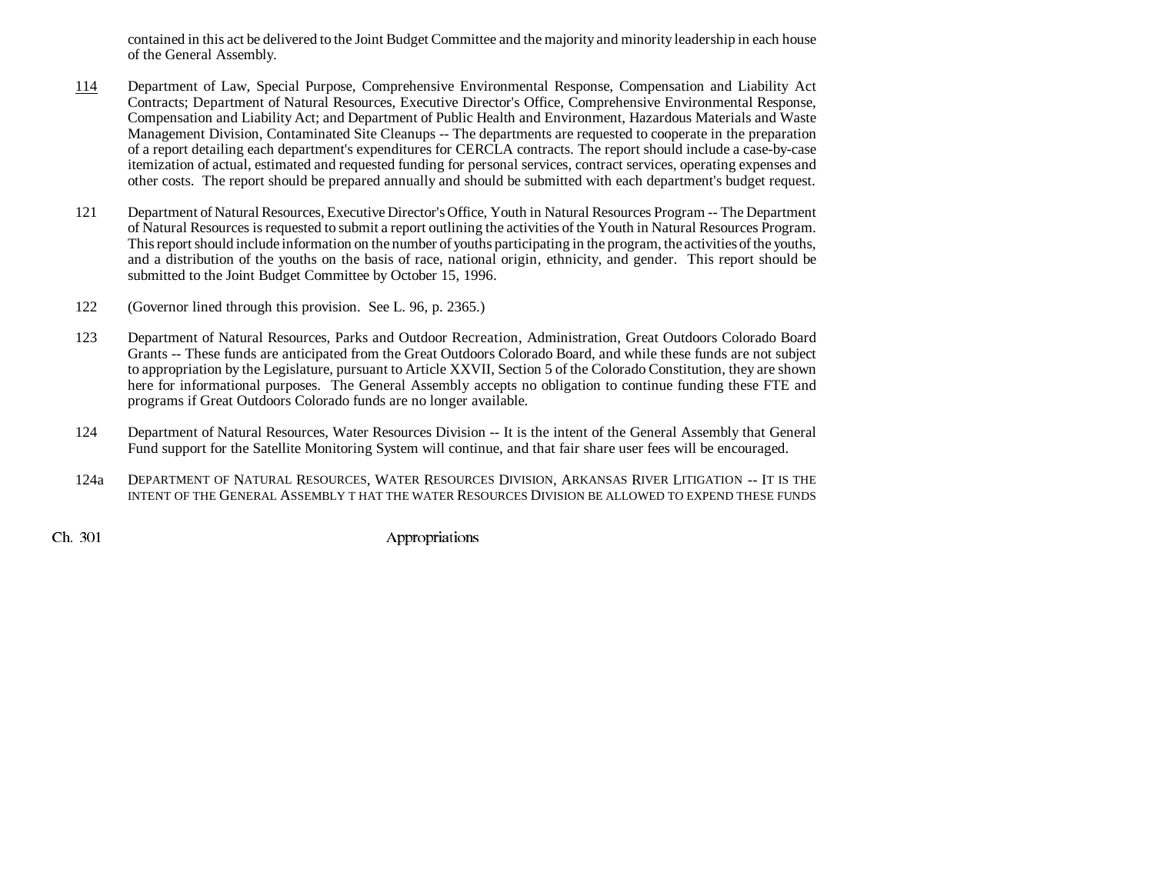contained in this act be delivered to the Joint Budget Committee and the majority and minority leadership in each house of the General Assembly.

- 114 Department of Law, Special Purpose, Comprehensive Environmental Response, Compensation and Liability Act Contracts; Department of Natural Resources, Executive Director's Office, Comprehensive Environmental Response, Compensation and Liability Act; and Department of Public Health and Environment, Hazardous Materials and Waste Management Division, Contaminated Site Cleanups -- The departments are requested to cooperate in the preparation of a report detailing each department's expenditures for CERCLA contracts. The report should include a case-by-case itemization of actual, estimated and requested funding for personal services, contract services, operating expenses and other costs. The report should be prepared annually and should be submitted with each department's budget request.
- 121 Department of Natural Resources, Executive Director's Office, Youth in Natural Resources Program -- The Department of Natural Resources is requested to submit a report outlining the activities of the Youth in Natural Resources Program. This report should include information on the number of youths participating in the program, the activities of the youths, and a distribution of the youths on the basis of race, national origin, ethnicity, and gender. This report should be submitted to the Joint Budget Committee by October 15, 1996.
- 122 (Governor lined through this provision. See L. 96, p. 2365.)
- 123 Department of Natural Resources, Parks and Outdoor Recreation, Administration, Great Outdoors Colorado Board Grants -- These funds are anticipated from the Great Outdoors Colorado Board, and while these funds are not subject to appropriation by the Legislature, pursuant to Article XXVII, Section 5 of the Colorado Constitution, they are shown here for informational purposes. The General Assembly accepts no obligation to continue funding these FTE and programs if Great Outdoors Colorado funds are no longer available.
- 124 Department of Natural Resources, Water Resources Division -- It is the intent of the General Assembly that General Fund support for the Satellite Monitoring System will continue, and that fair share user fees will be encouraged.
- 124a DEPARTMENT OF NATURAL RESOURCES, WATER RESOURCES DIVISION, ARKANSAS RIVER LITIGATION -- IT IS THE INTENT OF THE GENERAL ASSEMBLY T HAT THE WATER RESOURCES DIVISION BE ALLOWED TO EXPEND THESE FUNDS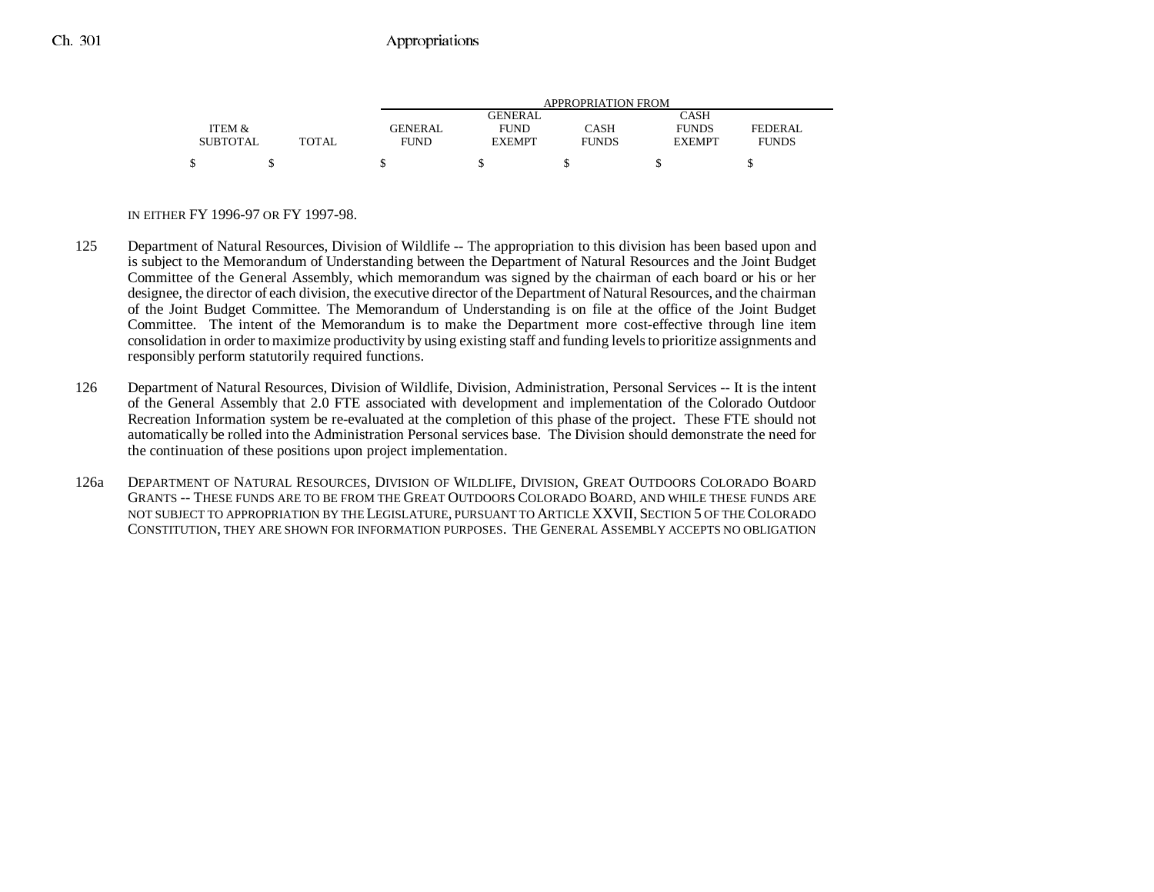|                 |              |                | APPROPRIATION FROM |              |               |              |  |  |
|-----------------|--------------|----------------|--------------------|--------------|---------------|--------------|--|--|
|                 |              |                | GENERAL            |              | <b>CASH</b>   |              |  |  |
| ITEM &          |              | <b>GENERAL</b> | <b>FUND</b>        | CASH         | <b>FUNDS</b>  | FEDERAL.     |  |  |
| <b>SUBTOTAL</b> | <b>TOTAL</b> | <b>FUND</b>    | <b>EXEMPT</b>      | <b>FUNDS</b> | <b>EXEMPT</b> | <b>FUNDS</b> |  |  |
|                 |              |                |                    |              |               |              |  |  |

#### IN EITHER FY 1996-97 OR FY 1997-98.

- 125 Department of Natural Resources, Division of Wildlife -- The appropriation to this division has been based upon and is subject to the Memorandum of Understanding between the Department of Natural Resources and the Joint Budget Committee of the General Assembly, which memorandum was signed by the chairman of each board or his or her designee, the director of each division, the executive director of the Department of Natural Resources, and the chairman of the Joint Budget Committee. The Memorandum of Understanding is on file at the office of the Joint Budget Committee. The intent of the Memorandum is to make the Department more cost-effective through line item consolidation in order to maximize productivity by using existing staff and funding levels to prioritize assignments and responsibly perform statutorily required functions.
- 126 Department of Natural Resources, Division of Wildlife, Division, Administration, Personal Services -- It is the intent of the General Assembly that 2.0 FTE associated with development and implementation of the Colorado Outdoor Recreation Information system be re-evaluated at the completion of this phase of the project. These FTE should not automatically be rolled into the Administration Personal services base. The Division should demonstrate the need for the continuation of these positions upon project implementation.
- 126a DEPARTMENT OF NATURAL RESOURCES, DIVISION OF WILDLIFE, DIVISION, GREAT OUTDOORS COLORADO BOARD GRANTS -- THESE FUNDS ARE TO BE FROM THE GREAT OUTDOORS COLORADO BOARD, AND WHILE THESE FUNDS ARE NOT SUBJECT TO APPROPRIATION BY THE LEGISLATURE, PURSUANT TO ARTICLE XXVII, SECTION 5 OF THE COLORADO CONSTITUTION, THEY ARE SHOWN FOR INFORMATION PURPOSES. THE GENERAL ASSEMBLY ACCEPTS NO OBLIGATION